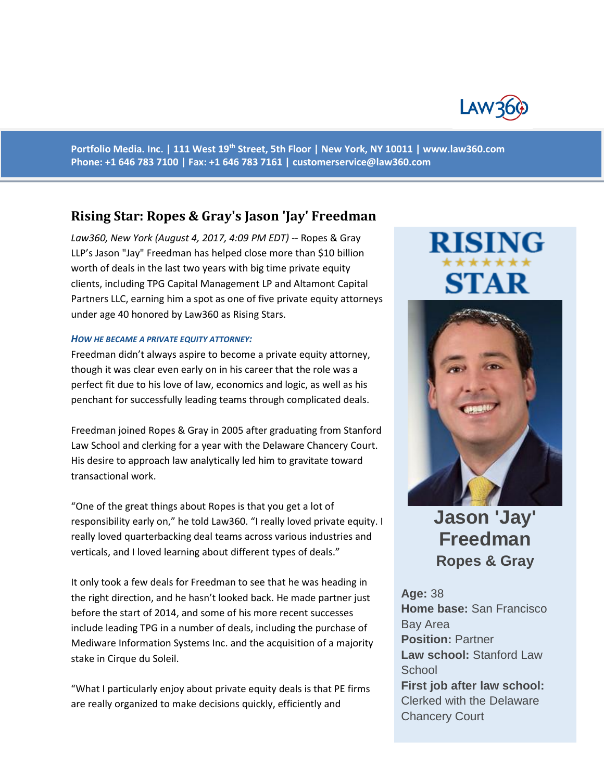

**Portfolio Media. Inc. | 111 West 19th Street, 5th Floor | New York, NY 10011 | www.law360.com Phone: +1 646 783 7100 | Fax: +1 646 783 7161 | [customerservice@law360.com](mailto:customerservice@law360.com)**

### **Rising Star: Ropes & Gray's Jason 'Jay' Freedman**

*Law360, New York (August 4, 2017, 4:09 PM EDT)* -- Ropes & Gray LLP's Jason "Jay" Freedman has helped close more than \$10 billion worth of deals in the last two years with big time private equity clients, including TPG Capital Management LP and Altamont Capital Partners LLC, earning him a spot as one of five private equity attorneys under age 40 honored by Law360 as Rising Stars.

### *HOW HE BECAME A PRIVATE EQUITY ATTORNEY:*

Freedman didn't always aspire to become a private equity attorney, though it was clear even early on in his career that the role was a perfect fit due to his love of law, economics and logic, as well as his penchant for successfully leading teams through complicated deals.

Freedman joined Ropes & Gray in 2005 after graduating from Stanford Law School and clerking for a year with the Delaware Chancery Court. His desire to approach law analytically led him to gravitate toward transactional work.

"One of the great things about Ropes is that you get a lot of responsibility early on," he told Law360. "I really loved private equity. I really loved quarterbacking deal teams across various industries and verticals, and I loved learning about different types of deals."

It only took a few deals for Freedman to see that he was heading in the right direction, and he hasn't looked back. He made partner just before the start of 2014, and some of his more recent successes include leading TPG in a number of deals, including the purchase of Mediware Information Systems Inc. and the acquisition of a majority stake in Cirque du Soleil.

"What I particularly enjoy about private equity deals is that PE firms are really organized to make decisions quickly, efficiently and

# **RISING STAR**



## **Jason 'Jay' Freedman Ropes & Gray**

**Age:** 38 **Home base:** San Francisco Bay Area **Position:** Partner **Law school:** Stanford Law **School First job after law school:** Clerked with the Delaware Chancery Court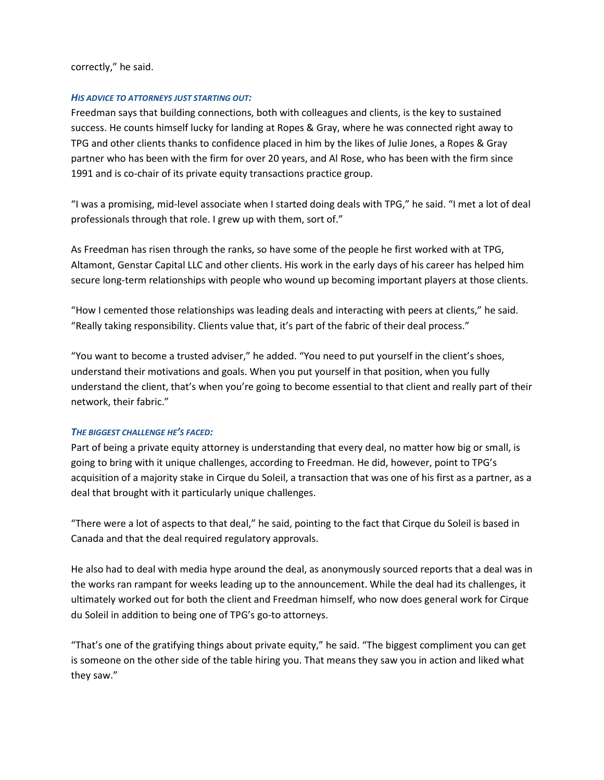correctly," he said.

### *HIS ADVICE TO ATTORNEYS JUST STARTING OUT:*

Freedman says that building connections, both with colleagues and clients, is the key to sustained success. He counts himself lucky for landing at Ropes & Gray, where he was connected right away to TPG and other clients thanks to confidence placed in him by the likes of Julie Jones, a Ropes & Gray partner who has been with the firm for over 20 years, and Al Rose, who has been with the firm since 1991 and is co-chair of its private equity transactions practice group.

"I was a promising, mid-level associate when I started doing deals with TPG," he said. "I met a lot of deal professionals through that role. I grew up with them, sort of."

As Freedman has risen through the ranks, so have some of the people he first worked with at TPG, Altamont, Genstar Capital LLC and other clients. His work in the early days of his career has helped him secure long-term relationships with people who wound up becoming important players at those clients.

"How I cemented those relationships was leading deals and interacting with peers at clients," he said. "Really taking responsibility. Clients value that, it's part of the fabric of their deal process."

"You want to become a trusted adviser," he added. "You need to put yourself in the client's shoes, understand their motivations and goals. When you put yourself in that position, when you fully understand the client, that's when you're going to become essential to that client and really part of their network, their fabric."

### *THE BIGGEST CHALLENGE HE'S FACED:*

Part of being a private equity attorney is understanding that every deal, no matter how big or small, is going to bring with it unique challenges, according to Freedman. He did, however, point to TPG's acquisition of a majority stake in Cirque du Soleil, a transaction that was one of his first as a partner, as a deal that brought with it particularly unique challenges.

"There were a lot of aspects to that deal," he said, pointing to the fact that Cirque du Soleil is based in Canada and that the deal required regulatory approvals.

He also had to deal with media hype around the deal, as anonymously sourced reports that a deal was in the works ran rampant for weeks leading up to the announcement. While the deal had its challenges, it ultimately worked out for both the client and Freedman himself, who now does general work for Cirque du Soleil in addition to being one of TPG's go-to attorneys.

"That's one of the gratifying things about private equity," he said. "The biggest compliment you can get is someone on the other side of the table hiring you. That means they saw you in action and liked what they saw."